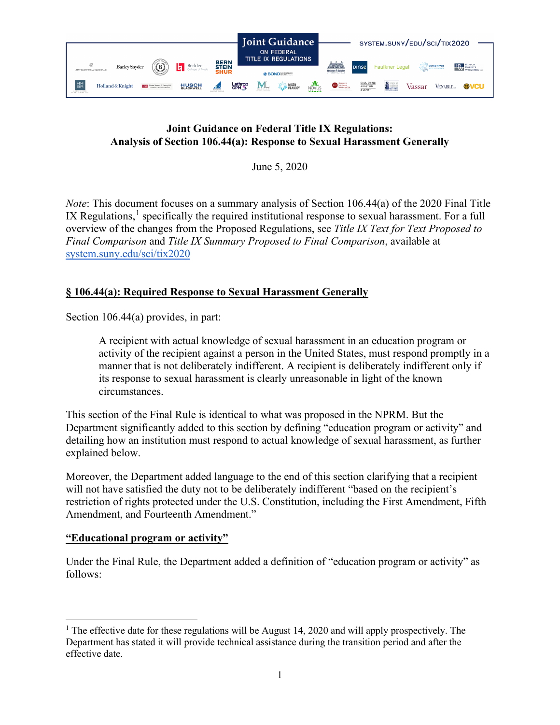

# **Joint Guidance on Federal Title IX Regulations: Analysis of Section 106.44(a): Response to Sexual Harassment Generally**

June 5, 2020

*Note*: This document focuses on a summary analysis of Section 106.44(a) of the 2020 Final Title IX Regulations, $<sup>1</sup>$  $<sup>1</sup>$  $<sup>1</sup>$  specifically the required institutional response to sexual harassment. For a full</sup> overview of the changes from the Proposed Regulations, see *Title IX Text for Text Proposed to Final Comparison* and *Title IX Summary Proposed to Final Comparison*, available at [system.suny.edu/sci/tix2020](https://system.suny.edu/sci/tix2020/)

# **§ 106.44(a): Required Response to Sexual Harassment Generally**

Section 106.44(a) provides, in part:

A recipient with actual knowledge of sexual harassment in an education program or activity of the recipient against a person in the United States, must respond promptly in a manner that is not deliberately indifferent. A recipient is deliberately indifferent only if its response to sexual harassment is clearly unreasonable in light of the known circumstances.

This section of the Final Rule is identical to what was proposed in the NPRM. But the Department significantly added to this section by defining "education program or activity" and detailing how an institution must respond to actual knowledge of sexual harassment, as further explained below.

Moreover, the Department added language to the end of this section clarifying that a recipient will not have satisfied the duty not to be deliberately indifferent "based on the recipient's restriction of rights protected under the U.S. Constitution, including the First Amendment, Fifth Amendment, and Fourteenth Amendment."

# **"Educational program or activity"**

Under the Final Rule, the Department added a definition of "education program or activity" as follows:

<span id="page-0-0"></span><sup>&</sup>lt;sup>1</sup> The effective date for these regulations will be August 14, 2020 and will apply prospectively. The Department has stated it will provide technical assistance during the transition period and after the effective date.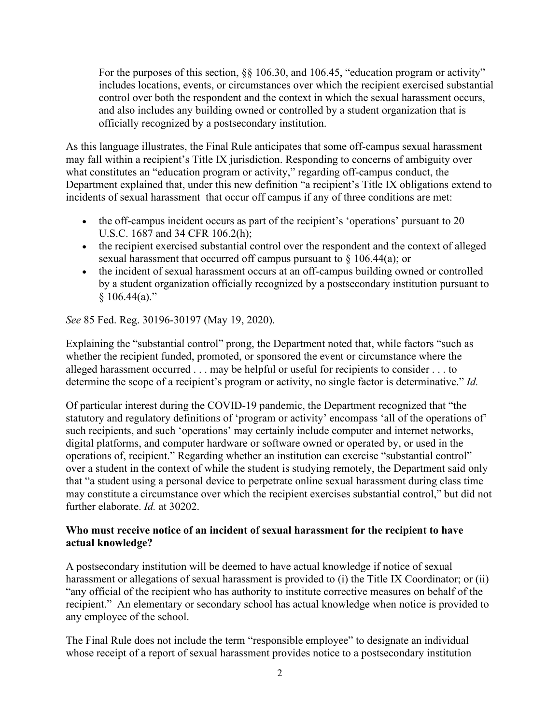For the purposes of this section, §§ 106.30, and 106.45, "education program or activity" includes locations, events, or circumstances over which the recipient exercised substantial control over both the respondent and the context in which the sexual harassment occurs, and also includes any building owned or controlled by a student organization that is officially recognized by a postsecondary institution.

As this language illustrates, the Final Rule anticipates that some off-campus sexual harassment may fall within a recipient's Title IX jurisdiction. Responding to concerns of ambiguity over what constitutes an "education program or activity," regarding off-campus conduct, the Department explained that, under this new definition "a recipient's Title IX obligations extend to incidents of sexual harassment that occur off campus if any of three conditions are met:

- the off-campus incident occurs as part of the recipient's 'operations' pursuant to 20 U.S.C. 1687 and 34 CFR 106.2(h);
- the recipient exercised substantial control over the respondent and the context of alleged sexual harassment that occurred off campus pursuant to  $\S$  106.44(a); or
- the incident of sexual harassment occurs at an off-campus building owned or controlled by a student organization officially recognized by a postsecondary institution pursuant to  $$106.44(a)."$

*See* 85 Fed. Reg. 30196-30197 (May 19, 2020).

Explaining the "substantial control" prong, the Department noted that, while factors "such as whether the recipient funded, promoted, or sponsored the event or circumstance where the alleged harassment occurred . . . may be helpful or useful for recipients to consider . . . to determine the scope of a recipient's program or activity, no single factor is determinative." *Id.*

Of particular interest during the COVID-19 pandemic, the Department recognized that "the statutory and regulatory definitions of 'program or activity' encompass 'all of the operations of' such recipients, and such 'operations' may certainly include computer and internet networks, digital platforms, and computer hardware or software owned or operated by, or used in the operations of, recipient." Regarding whether an institution can exercise "substantial control" over a student in the context of while the student is studying remotely, the Department said only that "a student using a personal device to perpetrate online sexual harassment during class time may constitute a circumstance over which the recipient exercises substantial control," but did not further elaborate. *Id.* at 30202.

# **Who must receive notice of an incident of sexual harassment for the recipient to have actual knowledge?**

A postsecondary institution will be deemed to have actual knowledge if notice of sexual harassment or allegations of sexual harassment is provided to (i) the Title IX Coordinator; or (ii) "any official of the recipient who has authority to institute corrective measures on behalf of the recipient." An elementary or secondary school has actual knowledge when notice is provided to any employee of the school.

The Final Rule does not include the term "responsible employee" to designate an individual whose receipt of a report of sexual harassment provides notice to a postsecondary institution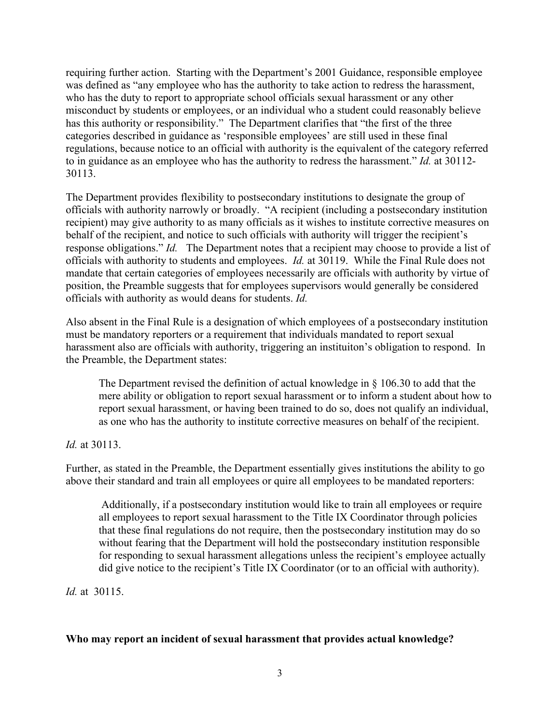requiring further action. Starting with the Department's 2001 Guidance, responsible employee was defined as "any employee who has the authority to take action to redress the harassment, who has the duty to report to appropriate school officials sexual harassment or any other misconduct by students or employees, or an individual who a student could reasonably believe has this authority or responsibility." The Department clarifies that "the first of the three categories described in guidance as 'responsible employees' are still used in these final regulations, because notice to an official with authority is the equivalent of the category referred to in guidance as an employee who has the authority to redress the harassment." *Id.* at 30112- 30113.

The Department provides flexibility to postsecondary institutions to designate the group of officials with authority narrowly or broadly. "A recipient (including a postsecondary institution recipient) may give authority to as many officials as it wishes to institute corrective measures on behalf of the recipient, and notice to such officials with authority will trigger the recipient's response obligations." *Id.* The Department notes that a recipient may choose to provide a list of officials with authority to students and employees. *Id.* at 30119. While the Final Rule does not mandate that certain categories of employees necessarily are officials with authority by virtue of position, the Preamble suggests that for employees supervisors would generally be considered officials with authority as would deans for students. *Id.*

Also absent in the Final Rule is a designation of which employees of a postsecondary institution must be mandatory reporters or a requirement that individuals mandated to report sexual harassment also are officials with authority, triggering an instituiton's obligation to respond. In the Preamble, the Department states:

The Department revised the definition of actual knowledge in § 106.30 to add that the mere ability or obligation to report sexual harassment or to inform a student about how to report sexual harassment, or having been trained to do so, does not qualify an individual, as one who has the authority to institute corrective measures on behalf of the recipient.

*Id.* at 30113.

Further, as stated in the Preamble, the Department essentially gives institutions the ability to go above their standard and train all employees or quire all employees to be mandated reporters:

Additionally, if a postsecondary institution would like to train all employees or require all employees to report sexual harassment to the Title IX Coordinator through policies that these final regulations do not require, then the postsecondary institution may do so without fearing that the Department will hold the postsecondary institution responsible for responding to sexual harassment allegations unless the recipient's employee actually did give notice to the recipient's Title IX Coordinator (or to an official with authority).

*Id.* at 30115.

## **Who may report an incident of sexual harassment that provides actual knowledge?**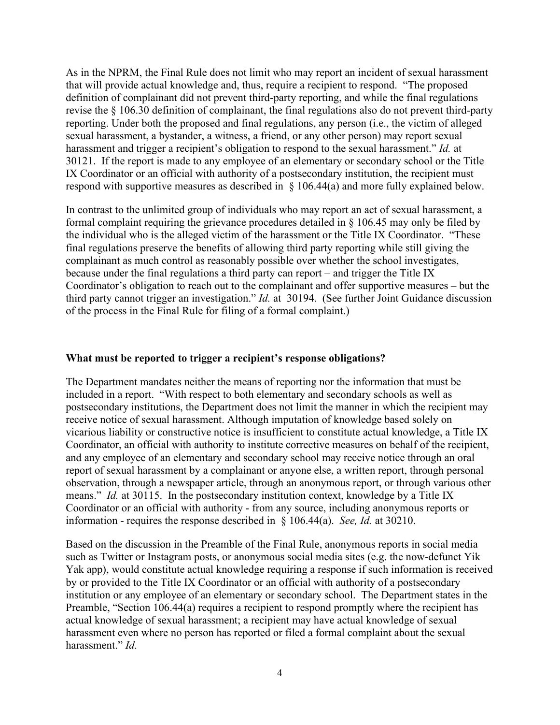As in the NPRM, the Final Rule does not limit who may report an incident of sexual harassment that will provide actual knowledge and, thus, require a recipient to respond. "The proposed definition of complainant did not prevent third-party reporting, and while the final regulations revise the § 106.30 definition of complainant, the final regulations also do not prevent third-party reporting. Under both the proposed and final regulations, any person (i.e., the victim of alleged sexual harassment, a bystander, a witness, a friend, or any other person) may report sexual harassment and trigger a recipient's obligation to respond to the sexual harassment." *Id.* at 30121. If the report is made to any employee of an elementary or secondary school or the Title IX Coordinator or an official with authority of a postsecondary institution, the recipient must respond with supportive measures as described in § 106.44(a) and more fully explained below.

In contrast to the unlimited group of individuals who may report an act of sexual harassment, a formal complaint requiring the grievance procedures detailed in § 106.45 may only be filed by the individual who is the alleged victim of the harassment or the Title IX Coordinator. "These final regulations preserve the benefits of allowing third party reporting while still giving the complainant as much control as reasonably possible over whether the school investigates, because under the final regulations a third party can report – and trigger the Title IX Coordinator's obligation to reach out to the complainant and offer supportive measures – but the third party cannot trigger an investigation." *Id.* at 30194. (See further Joint Guidance discussion of the process in the Final Rule for filing of a formal complaint.)

### **What must be reported to trigger a recipient's response obligations?**

The Department mandates neither the means of reporting nor the information that must be included in a report. "With respect to both elementary and secondary schools as well as postsecondary institutions, the Department does not limit the manner in which the recipient may receive notice of sexual harassment. Although imputation of knowledge based solely on vicarious liability or constructive notice is insufficient to constitute actual knowledge, a Title IX Coordinator, an official with authority to institute corrective measures on behalf of the recipient, and any employee of an elementary and secondary school may receive notice through an oral report of sexual harassment by a complainant or anyone else, a written report, through personal observation, through a newspaper article, through an anonymous report, or through various other means." *Id.* at 30115. In the postsecondary institution context, knowledge by a Title IX Coordinator or an official with authority - from any source, including anonymous reports or information - requires the response described in § 106.44(a). *See, Id.* at 30210.

Based on the discussion in the Preamble of the Final Rule, anonymous reports in social media such as Twitter or Instagram posts, or anonymous social media sites (e.g. the now-defunct Yik Yak app), would constitute actual knowledge requiring a response if such information is received by or provided to the Title IX Coordinator or an official with authority of a postsecondary institution or any employee of an elementary or secondary school. The Department states in the Preamble, "Section 106.44(a) requires a recipient to respond promptly where the recipient has actual knowledge of sexual harassment; a recipient may have actual knowledge of sexual harassment even where no person has reported or filed a formal complaint about the sexual harassment." *Id.*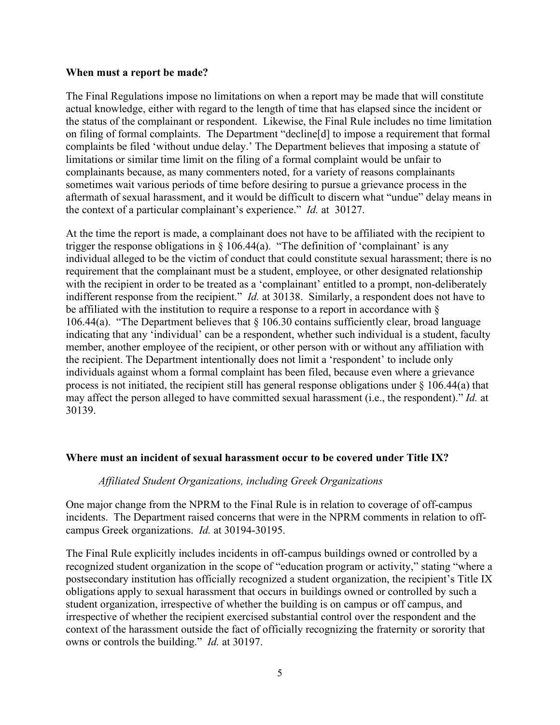### **When must a report be made?**

The Final Regulations impose no limitations on when a report may be made that will constitute actual knowledge, either with regard to the length of time that has elapsed since the incident or the status of the complainant or respondent. Likewise, the Final Rule includes no time limitation on filing of formal complaints. The Department "decline[d] to impose a requirement that formal complaints be filed 'without undue delay.' The Department believes that imposing a statute of limitations or similar time limit on the filing of a formal complaint would be unfair to complainants because, as many commenters noted, for a variety of reasons complainants sometimes wait various periods of time before desiring to pursue a grievance process in the aftermath of sexual harassment, and it would be difficult to discern what "undue" delay means in the context of a particular complainant's experience." *Id.* at 30127.

At the time the report is made, a complainant does not have to be affiliated with the recipient to trigger the response obligations in  $\S$  106.44(a). "The definition of 'complainant' is any individual alleged to be the victim of conduct that could constitute sexual harassment; there is no requirement that the complainant must be a student, employee, or other designated relationship with the recipient in order to be treated as a 'complainant' entitled to a prompt, non-deliberately indifferent response from the recipient." *Id.* at 30138. Similarly, a respondent does not have to be affiliated with the institution to require a response to a report in accordance with § 106.44(a). "The Department believes that  $\S$  106.30 contains sufficiently clear, broad language indicating that any 'individual' can be a respondent, whether such individual is a student, faculty member, another employee of the recipient, or other person with or without any affiliation with the recipient. The Department intentionally does not limit a 'respondent' to include only individuals against whom a formal complaint has been filed, because even where a grievance process is not initiated, the recipient still has general response obligations under  $\S$  106.44(a) that may affect the person alleged to have committed sexual harassment (i.e., the respondent)." *Id.* at 30139.

### **Where must an incident of sexual harassment occur to be covered under Title IX?**

#### *Affiliated Student Organizations, including Greek Organizations*

One major change from the NPRM to the Final Rule is in relation to coverage of off-campus incidents. The Department raised concerns that were in the NPRM comments in relation to offcampus Greek organizations. *Id.* at 30194-30195.

The Final Rule explicitly includes incidents in off-campus buildings owned or controlled by a recognized student organization in the scope of "education program or activity," stating "where a postsecondary institution has officially recognized a student organization, the recipient's Title IX obligations apply to sexual harassment that occurs in buildings owned or controlled by such a student organization, irrespective of whether the building is on campus or off campus, and irrespective of whether the recipient exercised substantial control over the respondent and the context of the harassment outside the fact of officially recognizing the fraternity or sorority that owns or controls the building." *Id.* at 30197.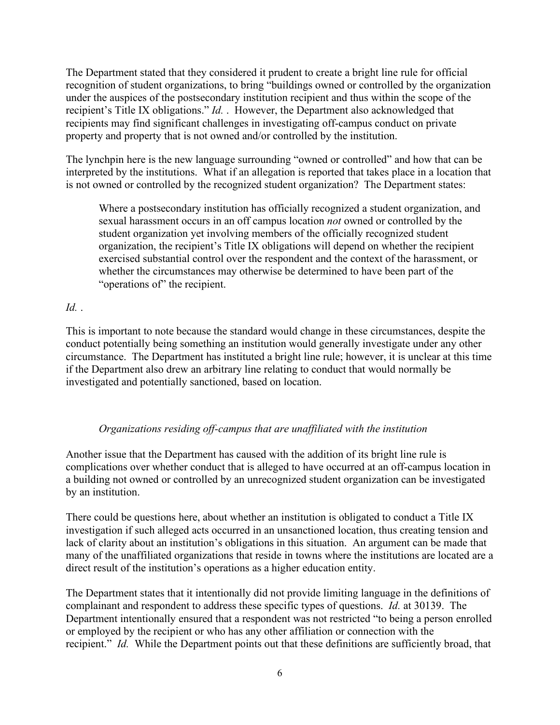The Department stated that they considered it prudent to create a bright line rule for official recognition of student organizations, to bring "buildings owned or controlled by the organization under the auspices of the postsecondary institution recipient and thus within the scope of the recipient's Title IX obligations." *Id.* . However, the Department also acknowledged that recipients may find significant challenges in investigating off-campus conduct on private property and property that is not owned and/or controlled by the institution.

The lynchpin here is the new language surrounding "owned or controlled" and how that can be interpreted by the institutions. What if an allegation is reported that takes place in a location that is not owned or controlled by the recognized student organization? The Department states:

Where a postsecondary institution has officially recognized a student organization, and sexual harassment occurs in an off campus location *not* owned or controlled by the student organization yet involving members of the officially recognized student organization, the recipient's Title IX obligations will depend on whether the recipient exercised substantial control over the respondent and the context of the harassment, or whether the circumstances may otherwise be determined to have been part of the "operations of" the recipient.

# *Id.* .

This is important to note because the standard would change in these circumstances, despite the conduct potentially being something an institution would generally investigate under any other circumstance. The Department has instituted a bright line rule; however, it is unclear at this time if the Department also drew an arbitrary line relating to conduct that would normally be investigated and potentially sanctioned, based on location.

# *Organizations residing off-campus that are unaffiliated with the institution*

Another issue that the Department has caused with the addition of its bright line rule is complications over whether conduct that is alleged to have occurred at an off-campus location in a building not owned or controlled by an unrecognized student organization can be investigated by an institution.

There could be questions here, about whether an institution is obligated to conduct a Title IX investigation if such alleged acts occurred in an unsanctioned location, thus creating tension and lack of clarity about an institution's obligations in this situation. An argument can be made that many of the unaffiliated organizations that reside in towns where the institutions are located are a direct result of the institution's operations as a higher education entity.

The Department states that it intentionally did not provide limiting language in the definitions of complainant and respondent to address these specific types of questions. *Id.* at 30139. The Department intentionally ensured that a respondent was not restricted "to being a person enrolled or employed by the recipient or who has any other affiliation or connection with the recipient." *Id.* While the Department points out that these definitions are sufficiently broad, that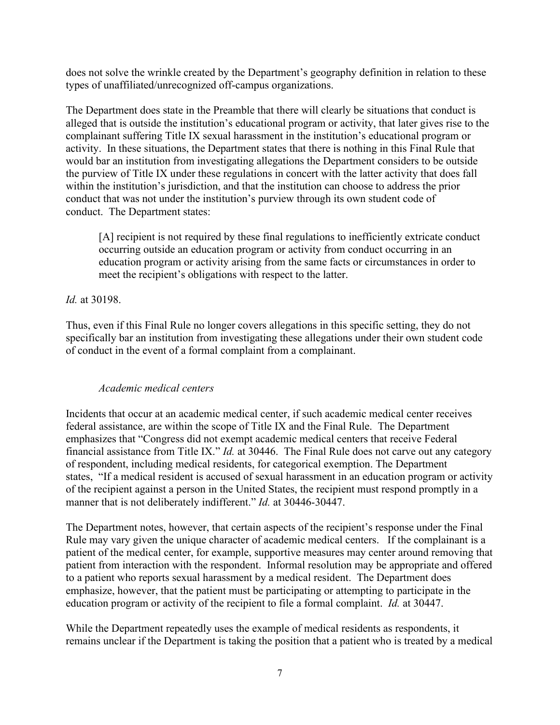does not solve the wrinkle created by the Department's geography definition in relation to these types of unaffiliated/unrecognized off-campus organizations.

The Department does state in the Preamble that there will clearly be situations that conduct is alleged that is outside the institution's educational program or activity, that later gives rise to the complainant suffering Title IX sexual harassment in the institution's educational program or activity. In these situations, the Department states that there is nothing in this Final Rule that would bar an institution from investigating allegations the Department considers to be outside the purview of Title IX under these regulations in concert with the latter activity that does fall within the institution's jurisdiction, and that the institution can choose to address the prior conduct that was not under the institution's purview through its own student code of conduct. The Department states:

[A] recipient is not required by these final regulations to inefficiently extricate conduct occurring outside an education program or activity from conduct occurring in an education program or activity arising from the same facts or circumstances in order to meet the recipient's obligations with respect to the latter.

## *Id.* at 30198.

Thus, even if this Final Rule no longer covers allegations in this specific setting, they do not specifically bar an institution from investigating these allegations under their own student code of conduct in the event of a formal complaint from a complainant.

## *Academic medical centers*

Incidents that occur at an academic medical center, if such academic medical center receives federal assistance, are within the scope of Title IX and the Final Rule. The Department emphasizes that "Congress did not exempt academic medical centers that receive Federal financial assistance from Title IX." *Id.* at 30446. The Final Rule does not carve out any category of respondent, including medical residents, for categorical exemption. The Department states, "If a medical resident is accused of sexual harassment in an education program or activity of the recipient against a person in the United States, the recipient must respond promptly in a manner that is not deliberately indifferent." *Id.* at 30446-30447.

The Department notes, however, that certain aspects of the recipient's response under the Final Rule may vary given the unique character of academic medical centers. If the complainant is a patient of the medical center, for example, supportive measures may center around removing that patient from interaction with the respondent. Informal resolution may be appropriate and offered to a patient who reports sexual harassment by a medical resident. The Department does emphasize, however, that the patient must be participating or attempting to participate in the education program or activity of the recipient to file a formal complaint. *Id.* at 30447.

While the Department repeatedly uses the example of medical residents as respondents, it remains unclear if the Department is taking the position that a patient who is treated by a medical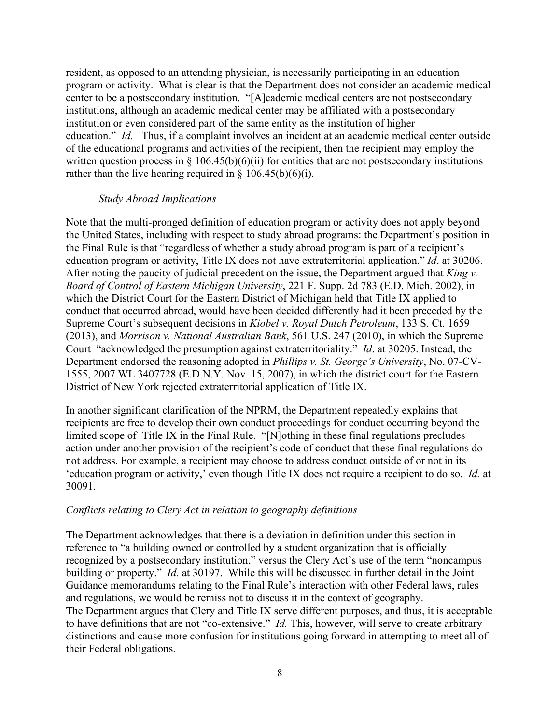resident, as opposed to an attending physician, is necessarily participating in an education program or activity. What is clear is that the Department does not consider an academic medical center to be a postsecondary institution. "[A]cademic medical centers are not postsecondary institutions, although an academic medical center may be affiliated with a postsecondary institution or even considered part of the same entity as the institution of higher education." *Id.* Thus, if a complaint involves an incident at an academic medical center outside of the educational programs and activities of the recipient, then the recipient may employ the written question process in § 106.45(b)(6)(ii) for entities that are not postsecondary institutions rather than the live hearing required in  $\S$  106.45(b)(6)(i).

### *Study Abroad Implications*

Note that the multi-pronged definition of education program or activity does not apply beyond the United States, including with respect to study abroad programs: the Department's position in the Final Rule is that "regardless of whether a study abroad program is part of a recipient's education program or activity, Title IX does not have extraterritorial application." *Id*. at 30206. After noting the paucity of judicial precedent on the issue, the Department argued that *King v. Board of Control of Eastern Michigan University*, 221 F. Supp. 2d 783 (E.D. Mich. 2002), in which the District Court for the Eastern District of Michigan held that Title IX applied to conduct that occurred abroad, would have been decided differently had it been preceded by the Supreme Court's subsequent decisions in *Kiobel v. Royal Dutch Petroleum*, 133 S. Ct. 1659 (2013), and *Morrison v. National Australian Bank*, 561 U.S. 247 (2010), in which the Supreme Court "acknowledged the presumption against extraterritoriality." *Id*. at 30205. Instead, the Department endorsed the reasoning adopted in *Phillips v. St. George's University*, No. 07-CV-1555, 2007 WL 3407728 (E.D.N.Y. Nov. 15, 2007), in which the district court for the Eastern District of New York rejected extraterritorial application of Title IX.

In another significant clarification of the NPRM, the Department repeatedly explains that recipients are free to develop their own conduct proceedings for conduct occurring beyond the limited scope of Title IX in the Final Rule. "[N]othing in these final regulations precludes action under another provision of the recipient's code of conduct that these final regulations do not address. For example, a recipient may choose to address conduct outside of or not in its 'education program or activity,' even though Title IX does not require a recipient to do so. *Id.* at 30091.

## *Conflicts relating to Clery Act in relation to geography definitions*

The Department acknowledges that there is a deviation in definition under this section in reference to "a building owned or controlled by a student organization that is officially recognized by a postsecondary institution," versus the Clery Act's use of the term "noncampus building or property." *Id.* at 30197. While this will be discussed in further detail in the Joint Guidance memorandums relating to the Final Rule's interaction with other Federal laws, rules and regulations, we would be remiss not to discuss it in the context of geography. The Department argues that Clery and Title IX serve different purposes, and thus, it is acceptable to have definitions that are not "co-extensive." *Id.* This, however, will serve to create arbitrary distinctions and cause more confusion for institutions going forward in attempting to meet all of their Federal obligations.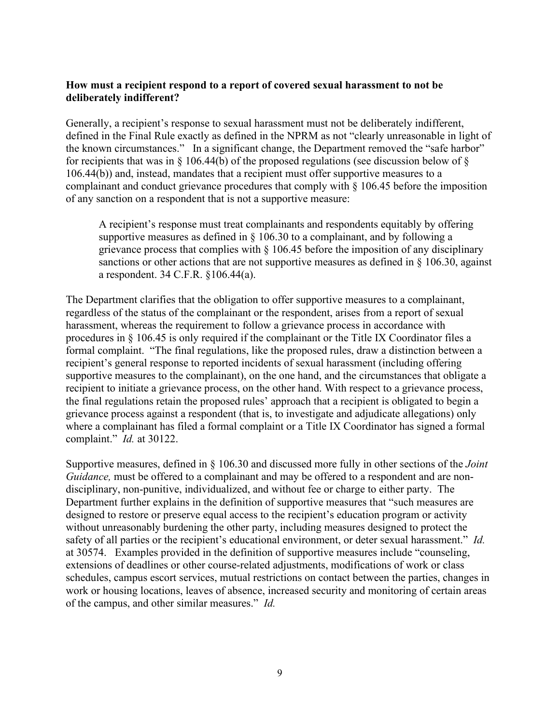## **How must a recipient respond to a report of covered sexual harassment to not be deliberately indifferent?**

Generally, a recipient's response to sexual harassment must not be deliberately indifferent, defined in the Final Rule exactly as defined in the NPRM as not "clearly unreasonable in light of the known circumstances." In a significant change, the Department removed the "safe harbor" for recipients that was in § 106.44(b) of the proposed regulations (see discussion below of § 106.44(b)) and, instead, mandates that a recipient must offer supportive measures to a complainant and conduct grievance procedures that comply with § 106.45 before the imposition of any sanction on a respondent that is not a supportive measure:

A recipient's response must treat complainants and respondents equitably by offering supportive measures as defined in § 106.30 to a complainant, and by following a grievance process that complies with § 106.45 before the imposition of any disciplinary sanctions or other actions that are not supportive measures as defined in  $\S$  106.30, against a respondent. 34 C.F.R. §106.44(a).

The Department clarifies that the obligation to offer supportive measures to a complainant, regardless of the status of the complainant or the respondent, arises from a report of sexual harassment, whereas the requirement to follow a grievance process in accordance with procedures in § 106.45 is only required if the complainant or the Title IX Coordinator files a formal complaint. "The final regulations, like the proposed rules, draw a distinction between a recipient's general response to reported incidents of sexual harassment (including offering supportive measures to the complainant), on the one hand, and the circumstances that obligate a recipient to initiate a grievance process, on the other hand. With respect to a grievance process, the final regulations retain the proposed rules' approach that a recipient is obligated to begin a grievance process against a respondent (that is, to investigate and adjudicate allegations) only where a complainant has filed a formal complaint or a Title IX Coordinator has signed a formal complaint." *Id.* at 30122.

Supportive measures, defined in § 106.30 and discussed more fully in other sections of the *Joint Guidance*, must be offered to a complainant and may be offered to a respondent and are nondisciplinary, non-punitive, individualized, and without fee or charge to either party. The Department further explains in the definition of supportive measures that "such measures are designed to restore or preserve equal access to the recipient's education program or activity without unreasonably burdening the other party, including measures designed to protect the safety of all parties or the recipient's educational environment, or deter sexual harassment." *Id.*  at 30574. Examples provided in the definition of supportive measures include "counseling, extensions of deadlines or other course-related adjustments, modifications of work or class schedules, campus escort services, mutual restrictions on contact between the parties, changes in work or housing locations, leaves of absence, increased security and monitoring of certain areas of the campus, and other similar measures." *Id.*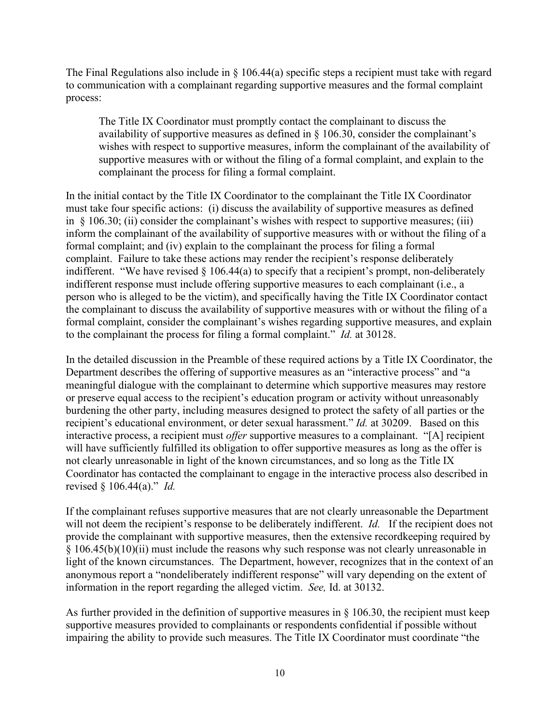The Final Regulations also include in  $\S$  106.44(a) specific steps a recipient must take with regard to communication with a complainant regarding supportive measures and the formal complaint process:

The Title IX Coordinator must promptly contact the complainant to discuss the availability of supportive measures as defined in § 106.30, consider the complainant's wishes with respect to supportive measures, inform the complainant of the availability of supportive measures with or without the filing of a formal complaint, and explain to the complainant the process for filing a formal complaint.

In the initial contact by the Title IX Coordinator to the complainant the Title IX Coordinator must take four specific actions: (i) discuss the availability of supportive measures as defined in  $\S$  106.30; (ii) consider the complainant's wishes with respect to supportive measures; (iii) inform the complainant of the availability of supportive measures with or without the filing of a formal complaint; and (iv) explain to the complainant the process for filing a formal complaint. Failure to take these actions may render the recipient's response deliberately indifferent. "We have revised § 106.44(a) to specify that a recipient's prompt, non-deliberately indifferent response must include offering supportive measures to each complainant (i.e., a person who is alleged to be the victim), and specifically having the Title IX Coordinator contact the complainant to discuss the availability of supportive measures with or without the filing of a formal complaint, consider the complainant's wishes regarding supportive measures, and explain to the complainant the process for filing a formal complaint." *Id.* at 30128.

In the detailed discussion in the Preamble of these required actions by a Title IX Coordinator, the Department describes the offering of supportive measures as an "interactive process" and "a meaningful dialogue with the complainant to determine which supportive measures may restore or preserve equal access to the recipient's education program or activity without unreasonably burdening the other party, including measures designed to protect the safety of all parties or the recipient's educational environment, or deter sexual harassment." *Id.* at 30209. Based on this interactive process, a recipient must *offer* supportive measures to a complainant. "[A] recipient will have sufficiently fulfilled its obligation to offer supportive measures as long as the offer is not clearly unreasonable in light of the known circumstances, and so long as the Title IX Coordinator has contacted the complainant to engage in the interactive process also described in revised § 106.44(a)." *Id.* 

If the complainant refuses supportive measures that are not clearly unreasonable the Department will not deem the recipient's response to be deliberately indifferent. *Id.* If the recipient does not provide the complainant with supportive measures, then the extensive recordkeeping required by § 106.45(b)(10)(ii) must include the reasons why such response was not clearly unreasonable in light of the known circumstances. The Department, however, recognizes that in the context of an anonymous report a "nondeliberately indifferent response" will vary depending on the extent of information in the report regarding the alleged victim. *See,* Id. at 30132.

As further provided in the definition of supportive measures in § 106.30, the recipient must keep supportive measures provided to complainants or respondents confidential if possible without impairing the ability to provide such measures. The Title IX Coordinator must coordinate "the